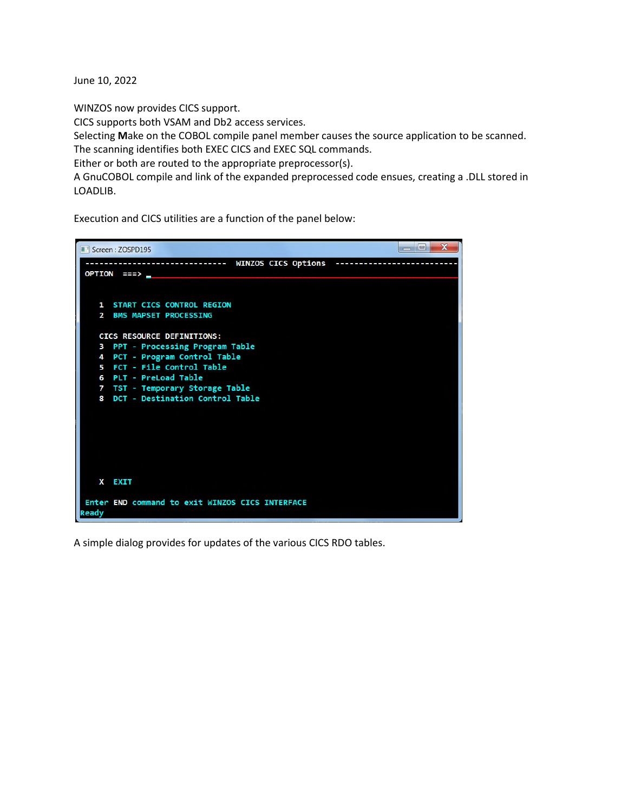June 10, 2022

WINZOS now provides CICS support.

CICS supports both VSAM and Db2 access services.

Selecting **M**ake on the COBOL compile panel member causes the source application to be scanned. The scanning identifies both EXEC CICS and EXEC SQL commands.

Either or both are routed to the appropriate preprocessor(s).

A GnuCOBOL compile and link of the expanded preprocessed code ensues, creating a .DLL stored in LOADLIB.

Execution and CICS utilities are a function of the panel below:



A simple dialog provides for updates of the various CICS RDO tables.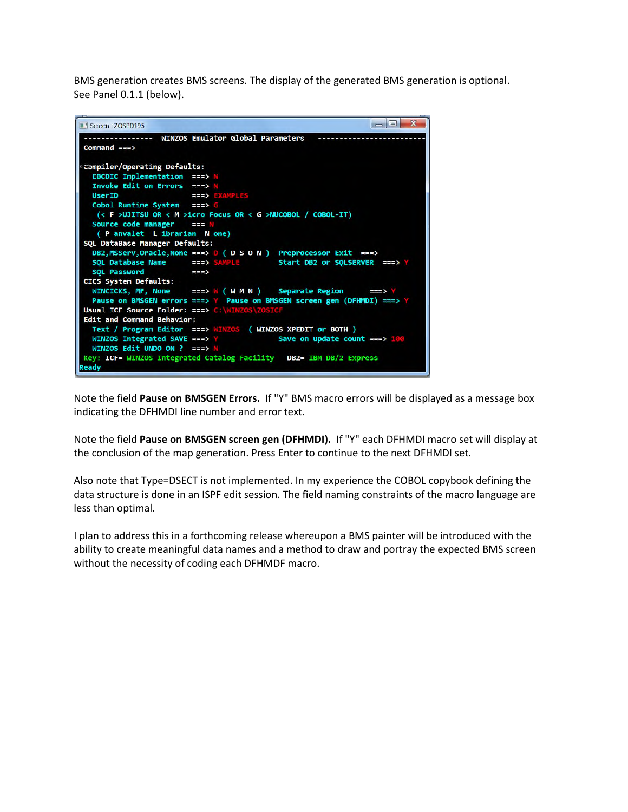BMS generation creates BMS screens. The display of the generated BMS generation is optional. See Panel 0.1.1 (below).



Note the field **Pause on BMSGEN Errors.** If "Y" BMS macro errors will be displayed as a message box indicating the DFHMDI line number and error text.

Note the field **Pause on BMSGEN screen gen (DFHMDI).** If "Y" each DFHMDI macro set will display at the conclusion of the map generation. Press Enter to continue to the next DFHMDI set.

Also note that Type=DSECT is not implemented. In my experience the COBOL copybook defining the data structure is done in an ISPF edit session. The field naming constraints of the macro language are less than optimal.

I plan to address this in a forthcoming release whereupon a BMS painter will be introduced with the ability to create meaningful data names and a method to draw and portray the expected BMS screen without the necessity of coding each DFHMDF macro.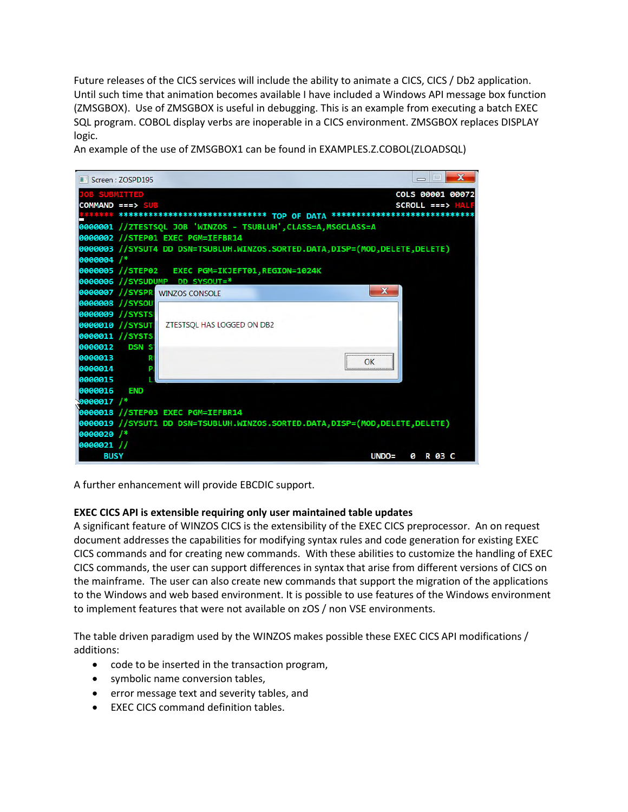Future releases of the CICS services will include the ability to animate a CICS, CICS / Db2 application. Until such time that animation becomes available I have included a Windows API message box function (ZMSGBOX). Use of ZMSGBOX is useful in debugging. This is an example from executing a batch EXEC SQL program. COBOL display verbs are inoperable in a CICS environment. ZMSGBOX replaces DISPLAY logic.

An example of the use of ZMSGBOX1 can be found in EXAMPLES.Z.COBOL(ZLOADSQL)



A further enhancement will provide EBCDIC support.

## **EXEC CICS API is extensible requiring only user maintained table updates**

A significant feature of WINZOS CICS is the extensibility of the EXEC CICS preprocessor. An on request document addresses the capabilities for modifying syntax rules and code generation for existing EXEC CICS commands and for creating new commands. With these abilities to customize the handling of EXEC CICS commands, the user can support differences in syntax that arise from different versions of CICS on the mainframe. The user can also create new commands that support the migration of the applications to the Windows and web based environment. It is possible to use features of the Windows environment to implement features that were not available on zOS / non VSE environments.

The table driven paradigm used by the WINZOS makes possible these EXEC CICS API modifications / additions:

- code to be inserted in the transaction program,
- symbolic name conversion tables,
- error message text and severity tables, and
- EXEC CICS command definition tables.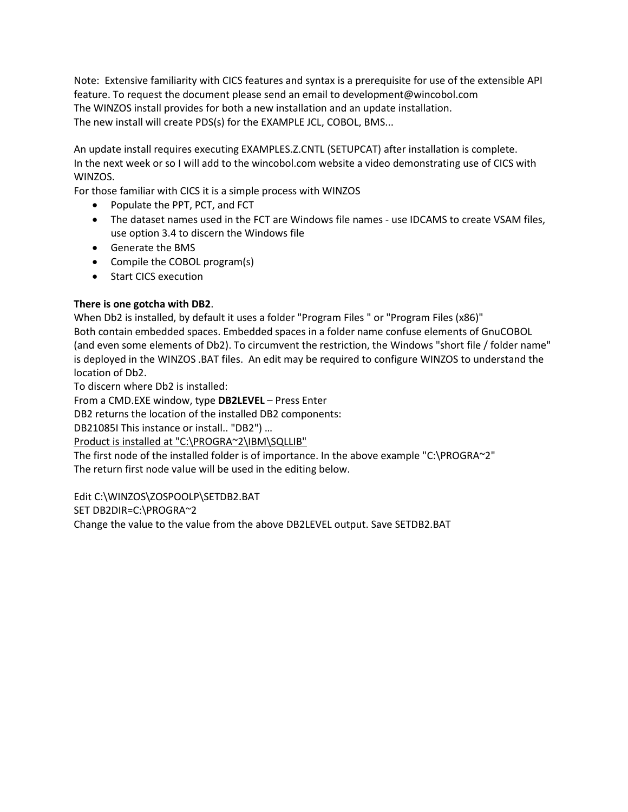Note: Extensive familiarity with CICS features and syntax is a prerequisite for use of the extensible API feature. To request the document please send an email to development@wincobol.com The WINZOS install provides for both a new installation and an update installation. The new install will create PDS(s) for the EXAMPLE JCL, COBOL, BMS...

An update install requires executing EXAMPLES.Z.CNTL (SETUPCAT) after installation is complete. In the next week or so I will add to the wincobol.com website a video demonstrating use of CICS with WINZOS.

For those familiar with CICS it is a simple process with WINZOS

- Populate the PPT, PCT, and FCT
- The dataset names used in the FCT are Windows file names use IDCAMS to create VSAM files, use option 3.4 to discern the Windows file
- Generate the BMS
- Compile the COBOL program(s)
- Start CICS execution

## **There is one gotcha with DB2**.

When Db2 is installed, by default it uses a folder "Program Files " or "Program Files (x86)" Both contain embedded spaces. Embedded spaces in a folder name confuse elements of GnuCOBOL (and even some elements of Db2). To circumvent the restriction, the Windows "short file / folder name" is deployed in the WINZOS .BAT files. An edit may be required to configure WINZOS to understand the location of Db2.

To discern where Db2 is installed:

From a CMD.EXE window, type **DB2LEVEL** – Press Enter

DB2 returns the location of the installed DB2 components:

DB21085I This instance or install.. "DB2") …

Product is installed at "C:\PROGRA~2\IBM\SQLLIB"

The first node of the installed folder is of importance. In the above example "C:\PROGRA~2" The return first node value will be used in the editing below.

Edit C:\WINZOS\ZOSPOOLP\SETDB2.BAT

SET DB2DIR=C:\PROGRA~2

Change the value to the value from the above DB2LEVEL output. Save SETDB2.BAT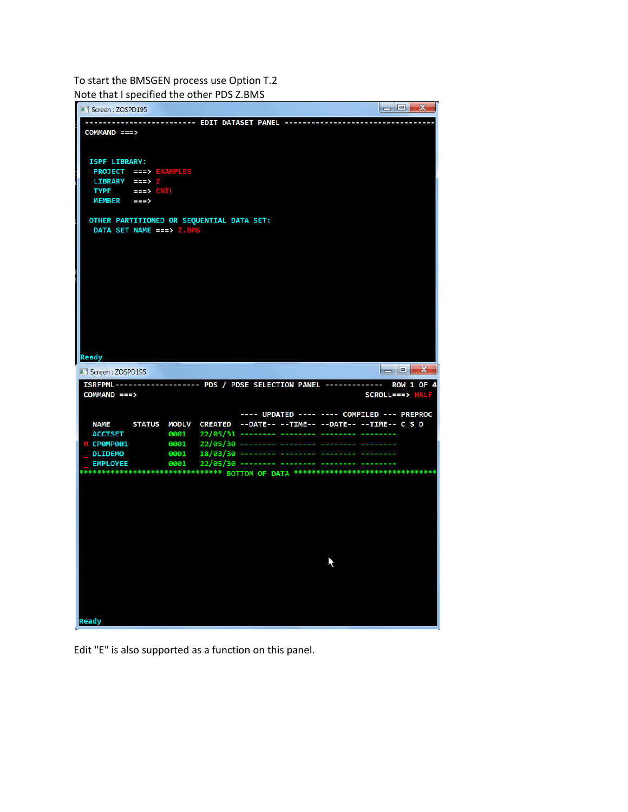To start the BMSGEN process use Option T.2 Note that I specified the other PDS Z.BMS



Edit "E" is also supported as a function on this panel.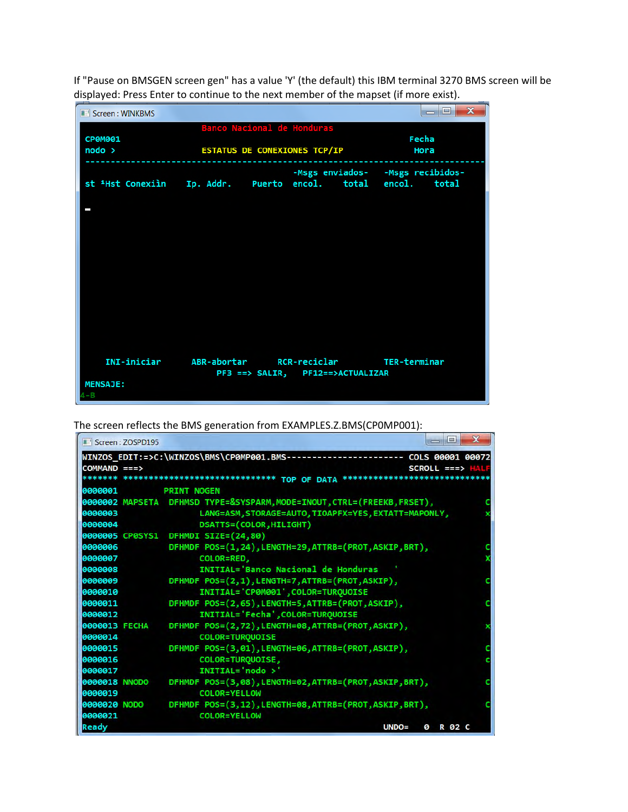If "Pause on BMSGEN screen gen" has a value 'Y' (the default) this IBM terminal 3270 BMS screen will be displayed: Press Enter to continue to the next member of the mapset (if more exist).

| Screen: WINKBMS                                                         |                                     |                                  |  |                                     | $\mathbf{x}$<br>$=$ $\blacksquare$ |
|-------------------------------------------------------------------------|-------------------------------------|----------------------------------|--|-------------------------------------|------------------------------------|
| CP0M001                                                                 |                                     | Banco Nacional de Honduras       |  | Fecha                               |                                    |
| node >                                                                  | <b>ESTATUS DE CONEXIONES TCP/IP</b> | Hora                             |  |                                     |                                    |
| st <sup>1</sup> Hst Conexiìn Ip. Addr. Puerto encol. total encol. total |                                     |                                  |  | -Msgs enviados- - - Msgs recibidos- |                                    |
| □                                                                       |                                     |                                  |  |                                     |                                    |
|                                                                         |                                     |                                  |  |                                     |                                    |
|                                                                         |                                     |                                  |  |                                     |                                    |
|                                                                         |                                     |                                  |  |                                     |                                    |
|                                                                         |                                     |                                  |  |                                     |                                    |
| INI-iniciar ABR-abortar RCR-reciclar TER-terminar                       |                                     | PF3 ==> SALIR, PF12==>ACTUALIZAR |  |                                     |                                    |
| <b>MENSAJE:</b>                                                         |                                     |                                  |  |                                     |                                    |

The screen reflects the BMS generation from EXAMPLES.Z.BMS(CP0MP001):

|                      | Screen: ZOSPD195 | $\Box$                                                                           | x |
|----------------------|------------------|----------------------------------------------------------------------------------|---|
|                      |                  | WINZOS_EDIT:=>C:\WINZOS\BMS\CP0MP001.BMS----------------------- COLS 00001 00072 |   |
| COMMAND ===>         |                  | $SCROL$ ===>                                                                     |   |
|                      |                  | ******* ***************************** TOP OF DATA                                |   |
| 0000001              |                  | <b>PRINT NOGEN</b>                                                               |   |
|                      |                  | 0000002 MAPSETA DFHMSD TYPE=&SYSPARM,MODE=INOUT,CTRL=(FREEKB,FRSET),             |   |
| 0000003              |                  | LANG=ASM, STORAGE=AUTO, TIOAPFX=YES, EXTATT=MAPONLY,                             |   |
| 0000004              |                  | DSATTS=(COLOR, HILIGHT)                                                          |   |
|                      |                  | 0000005 CP0SYS1 DFHMDI SIZE=(24,80)                                              |   |
| 0000006              |                  | DFHMDF POS=(1,24), LENGTH=29, ATTRB=(PROT, ASKIP, BRT),                          |   |
| 0000007              |                  | COLOR=RED,                                                                       |   |
| 0000008              |                  | INITIAL='Banco Nacional de Honduras                                              |   |
| 0000009              |                  | DFHMDF POS=(2,1), LENGTH=7, ATTRB=(PROT, ASKIP),                                 |   |
| 0000010              |                  | INITIAL='CP0M001', COLOR=TURQUOISE                                               |   |
| 0000011              |                  | DFHMDF POS=(2,65), LENGTH=5, ATTRB=(PROT, ASKIP),                                |   |
| 0000012              |                  | INITIAL='Fecha', COLOR=TURQUOISE                                                 |   |
| <b>0000013 FECHA</b> |                  | DFHMDF POS=(2,72), LENGTH=08, ATTRB=(PROT, ASKIP),                               |   |
| 0000014              |                  | COLOR=TURQUOISE                                                                  |   |
| 0000015              |                  | DFHMDF POS=(3,01), LENGTH=06, ATTRB=(PROT, ASKIP),                               |   |
| 0000016              |                  | COLOR=TURQUOISE,                                                                 |   |
| 0000017              |                  | INITIAL='nodo >'                                                                 |   |
| 0000018 NNODO        |                  | DFHMDF POS=(3,08), LENGTH=02, ATTRB=(PROT, ASKIP, BRT),                          |   |
| 0000019              |                  | COLOR=YELLOW                                                                     |   |
|                      | 0000020 NODO     | DFHMDF POS=(3,12), LENGTH=08, ATTRB=(PROT, ASKIP, BRT),                          |   |
| 0000021              |                  | COLOR=YELLOW                                                                     |   |
| Ready                |                  | $UNDO =$<br>R 02 C<br>ø                                                          |   |